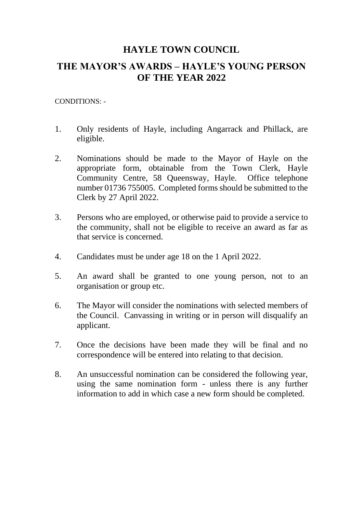## **HAYLE TOWN COUNCIL**

# **THE MAYOR'S AWARDS – HAYLE'S YOUNG PERSON OF THE YEAR 2022**

### CONDITIONS: -

- 1. Only residents of Hayle, including Angarrack and Phillack, are eligible.
- 2. Nominations should be made to the Mayor of Hayle on the appropriate form, obtainable from the Town Clerk, Hayle Community Centre, 58 Queensway, Hayle. Office telephone number 01736 755005. Completed forms should be submitted to the Clerk by 27 April 2022.
- 3. Persons who are employed, or otherwise paid to provide a service to the community, shall not be eligible to receive an award as far as that service is concerned.
- 4. Candidates must be under age 18 on the 1 April 2022.
- 5. An award shall be granted to one young person, not to an organisation or group etc.
- 6. The Mayor will consider the nominations with selected members of the Council. Canvassing in writing or in person will disqualify an applicant.
- 7. Once the decisions have been made they will be final and no correspondence will be entered into relating to that decision.
- 8. An unsuccessful nomination can be considered the following year, using the same nomination form - unless there is any further information to add in which case a new form should be completed.